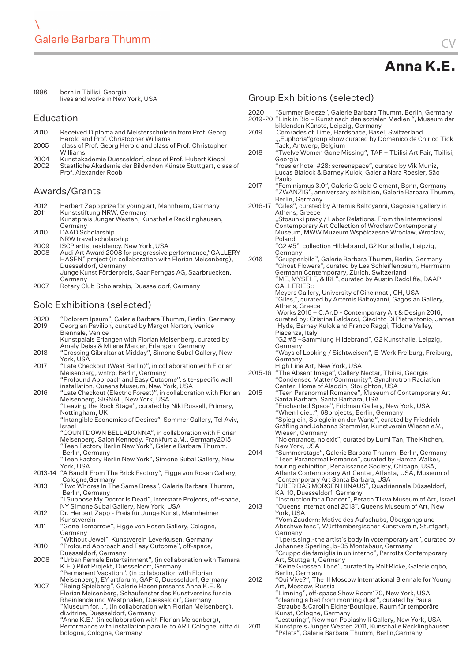| 1986 | born in Tbilisi, Georgia         |
|------|----------------------------------|
|      | lives and works in New York, USA |

#### Education

| 2010 | Received Diploma and Meisterschülerin from Prof. Georg     |
|------|------------------------------------------------------------|
|      | Herold and Prof. Christopher Williams                      |
| 2005 | class of Prof. Georg Herold and class of Prof. Christopher |

| 2005 | class of Prof. Georg Herold and class of Prof. Christopher |
|------|------------------------------------------------------------|
|      | Williams                                                   |
| 2004 | Kunstakademie Duesseldorf, class of Prof. Hubert Kiecol    |

2002 Staatliche Akademie der Bildenden Künste Stuttgart, class of Prof. Alexander Roob

#### Awards/Grants

| Herbert Zapp prize for young art, Mannheim, Germany   |
|-------------------------------------------------------|
| Kunststiftung NRW, Germany                            |
| Kunstpreis Junger Westen, Kunsthalle Recklinghausen,  |
| Germany                                               |
| DAAD Scholarship                                      |
| NRW travel scholarship                                |
| ISCP artist residency, New York, USA                  |
| Audi Art Award 2008 for progressive performance,"GALL |
|                                                       |

- 2008 Audi Art Award 2008 for progressive performance,"GALLERY HASEN" project (in collaboration with Florian Meisenberg), Duesseldorf, Germany Junge Kunst Förderpreis, Saar Ferngas AG, Saarbruecken, Germany
- 2007 Rotary Club Scholarship, Duesseldorf, Germany

# Solo Exhibitions (selected)

| 2020<br>2019 | "Dolorem Ipsum", Galerie Barbara Thumm, Berlin, Germany<br>Georgian Pavilion, curated by Margot Norton, Venice<br>Biennale, Venice                                                                                                                                                                                              |   |
|--------------|---------------------------------------------------------------------------------------------------------------------------------------------------------------------------------------------------------------------------------------------------------------------------------------------------------------------------------|---|
|              | Kunstpalais Erlangen with Florian Meisenberg, curated by<br>Amely Deiss & Milena Mercer, Erlangen, Germany                                                                                                                                                                                                                      |   |
| 2018         | "Crossing Gibraltar at Midday", Simone Subal Gallery, New<br>York, USA                                                                                                                                                                                                                                                          |   |
| 2017         | "Late Checkout (West Berlin)", in collaboration with Florian<br>Meisenberg, wntrp, Berlin, Germany<br>"Profound Approach and Easy Outcome", site-specific wall<br>installation, Queens Museum, New York, USA                                                                                                                    | 2 |
| 2016         | "Late Checkout (Electric Forest)", in collaboration with Florian<br>Meisenberg, SIGNAL, New York, USA<br>"Leaving the Rock Stage", curated by Niki Russell, Primary,<br>Nottingham, UK                                                                                                                                          |   |
|              | "Intangible Economies of Desires", Sommer Gallery, Tel Aviv,<br>Israel                                                                                                                                                                                                                                                          |   |
|              | "COUNTDOWN BELLADONNA", in collaboration with Florian<br>Meisenberg, Salon Kennedy, Frankfurt a.M., Germany2015<br>"Teen Factory Berlin New York", Galerie Barbara Thumm,                                                                                                                                                       |   |
|              | Berlin, Germany<br>"Teen Factory Berlin New York", Simone Subal Gallery, New                                                                                                                                                                                                                                                    |   |
|              | York, USA<br>2013-14 "A Bandit From The Brick Factory", Figge von Rosen Gallery,<br>Cologne, Germany                                                                                                                                                                                                                            |   |
| 2013         | "Two Whores In The Same Dress", Galerie Barbara Thumm,<br>Berlin, Germany                                                                                                                                                                                                                                                       |   |
| 2012         | "I Suppose My Doctor Is Dead", Interstate Projects, off-space,<br>NY Simone Subal Gallery, New York, USA<br>Dr. Herbert Zapp - Preis für Junge Kunst, Mannheimer                                                                                                                                                                | 2 |
|              | Kunstverein                                                                                                                                                                                                                                                                                                                     |   |
| 2011         | "Gone Tomorrow", Figge von Rosen Gallery, Cologne,<br>Germany                                                                                                                                                                                                                                                                   |   |
| 2010         | "Without Jewel", Kunstverein Leverkusen, Germany<br>"Profound Approach and Easy Outcome", off-space,                                                                                                                                                                                                                            |   |
| 2008         | Duesseldorf, Germany<br>"Urban Female Entertainment", (in collaboration with Tamara<br>K.E.) Pilot Projekt, Duesseldorf, Germany<br>"Permanent Vacation", (in collaboration with Florian                                                                                                                                        |   |
| 2007         | Meisenberg), EY artforum, GAP15, Duesseldorf, Germany<br>"Being Spielberg", Galerie Hasen presents Anna K.E. &<br>Florian Meisenberg, Schaufenster des Kunstvereins für die<br>Rheinlande und Westphalen, Duesseldorf, Germany<br>"Museum for", (in collaboration with Florian Meisenberg),<br>di.vitrine, Duesseldorf, Germany |   |
|              | "Anna K.E." (in collaboration with Florian Meisenberg),<br>Performance with installation parallel to ART Cologne, citta di<br>bologna, Cologne, Germany                                                                                                                                                                         | 2 |
|              |                                                                                                                                                                                                                                                                                                                                 |   |

### Group Exhibitions (selected)

- 2020 "Summer Breeze", Galerie Barbara Thumm, Berlin, Germany 2019-20 "Link in Bio – Kunst nach den sozialen Medien ", Museum der bildenden Künste, Leipzig, Germany
- 2019 Comrades of Time, Hardspace, Basel, Switzerland ."Euphoria"group show curated by Domenico de Chirico Tick Tack, Antwerp, Belgium
- 2018 "Twelve Women Gone Missing", TAF Tbilisi Art Fair, Tbilisi, Georgia

"roesler hotel #28: screenspace", curated by Vik Muniz, Lucas Blalock & Barney Kulok, Galeria Nara Roesler, São Paulo

- 2017 "Feminismus 3.0", Galerie Gisela Clement, Bonn, Germany "ZWANZIG", anniversary exhibition, Galerie Barbara Thumm, Berlin, Germany
- 2016-17 "Giles", curated by Artemis Baltoyanni, Gagosian gallery in Athens, Greece
	- "Stosunki pracy / Labor Relations. From the International Contemporary Art Collection of Wroclaw Contemporary Museum, MWW Muzeum Wspólczesne Wroclaw, Wroclaw, Poland

"G2 #5", collection Hildebrand, G2 Kunsthalle, Leipzig, Germany

2016 "Gruppenbild", Galerie Barbara Thumm, Berlin, Germany "Ghost Flowers", curated by Lea Schleiffenbaum, Herrmann Germann Contemporary, Zürich, Switzerland "ME, MYSELF, & IRL", curated by Austin Radcliffe, DAAP GALLERIES:: Meyers Gallery, University of Cincinnati, OH, USA

"Giles,", curated by Artemis Baltoyanni, Gagosian Gallery, Athens, Greece

 Works 2016 – C.Ar.D - Contemporary Art & Design 2016, curated by: Cristina Baldacci, Giacinto Di Pietrantonio, James Hyde, Barney Kulok and Franco Raggi, Tidone Valley, Piacenza, Italy

"G2 #5 –Sammlung Hildebrand", G2 Kunsthalle, Leipzig, Germany

- "Ways of Looking / Sichtweisen", E-Werk Freiburg, Freiburg, Germany
- High Line Art, New York, USA
- 2015-16 "The Absent Image", Gallery Nectar, Tbilisi, Georgia "Condensed Matter Community", Synchrotron Radiation Center: Home of Aladdin, Stoughton, USA

2015 "Teen Paranormal Romance", Museum of Contemporary Art Santa Barbara, Santa Barbara, USA "Enchanted Space", Fridman Gallery, New York, USA "When I die...", 68projects, Berlin, Germany "Spieglein, Spieglein an der Wand", curated by Friedrich Gräfling and Johanna Stemmler, Kunstverein Wiesen e.V., Wiesen, Germany "No entrance, no exit", curated by Lumi Tan, The Kitchen, New York, USA

2014 "Summerstage", Galerie Barbara Thumm, Berlin, Germany "Teen Paranormal Romance", curated by Hamza Walker, touring exhibition, Renaissance Society, Chicago, USA, Atlanta Contemporary Art Center, Atlanta, USA, Museum of Contemporary Art Santa Barbara, USA "ÜBER DAS MORGEN HINAUS", Quadriennale Düsseldorf,

KAI 10, Duesseldorf, Germany

"Instruction for a Dancer", Petach Tikva Museum of Art, Israel 2013 "Queens International 2013", Queens Museum of Art, New York, USA

"Vom Zaudern: Motive des Aufschubs, Übergangs und Abschweifens", Württembergischer Kunstverein, Stuttgart, Germany

"1.pers.sing.-the artist's body in votemporary art", curated by Johannes Sperling, b-05 Montabaur, Germany "Gruppo die famiglia in un interno", Parrotta Contemporary

Art, Stuttgart, Germany "Keine Grossen Töne", curated by Rolf Ricke, Galerie oqbo,

Berlin, Germany

2012 "Qui Vive?", The III Moscow International Biennale for Young Art, Moscow, Russia

"Limning", off-space Show Room170, New York, USA "cleaning a bed from morning dust", curated by Paula Straube & Carolin EidnerBoutique, Raum für temporäre Kunst, Cologne, Germany

"Jesturing", Newman Popiashvili Gallery, New York, USA 2011 Kunstpreis Junger Westen 2011, Kunsthalle Recklinghausen "Palets", Galerie Barbara Thumm, Berlin,Germany

**Anna K.E.**